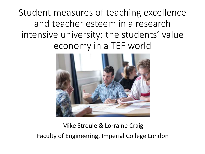Student measures of teaching excellence and teacher esteem in a research intensive university: the students' value economy in a TEF world



### Mike Streule & Lorraine Craig Faculty of Engineering, Imperial College London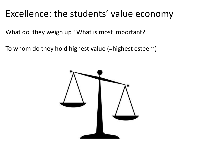## Excellence: the students' value economy

What do they weigh up? What is most important?

To whom do they hold highest value (=highest esteem)

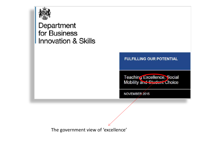

Department for Business Innovation & Skills



Teaching Excellence, Social<br>Mobility and Student Choice

NOVEMBER 2015

The government view of 'excellence'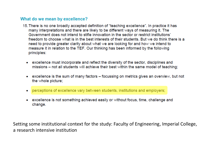#### What do we mean by excellence?

- 15. There is no one broadly accepted definition of "teaching excellence". In practice it has many interpretations and there are likely to be different ways of measuring it. The Government does not intend to stifle innovation in the sector or restrict institutions' freedom to choose what is in the best interests of their students. But we do think there is a need to provide greater clarity about what we are looking for and how we intend to measure it in relation to the TEF. Our thinking has been informed by the following principles:
	- excellence must incorporate and reflect the diversity of the sector, disciplines and missions - not all students will achieve their best within the same model of teaching;
	- excellence is the sum of many factors focussing on metrics gives an overview, but not the whole picture;
	- perceptions of excellence vary between students, institutions and employers;  $\bullet$
	- excellence is not something achieved easily or without focus, time, challenge and change.

Setting some institutional context for the study: Faculty of Engineering, Imperial College, a research intensive institution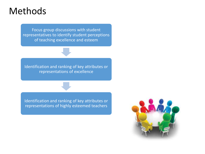### Methods

Focus group discussions with student representatives to identify student perceptions of teaching excellence and esteem

Identification and ranking of key attributes or representations of excellence

Identification and ranking of key attributes or representations of highly esteemed teachers

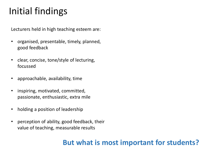Lecturers held in high teaching esteem are:

- organised, presentable, timely, planned, good feedback
- clear, concise, tone/style of lecturing, focussed
- approachable, availability, time
- inspiring, motivated, committed, passionate, enthusiastic, extra mile
- holding a position of leadership
- perception of ability, good feedback, their value of teaching, measurable results

#### **But what is most important for students?**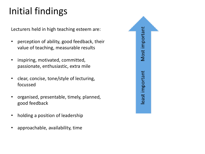Lecturers held in high teaching esteem are:

- perception of ability, good feedback, their value of teaching, measurable results
- inspiring, motivated, committed, passionate, enthusiastic, extra mile
- clear, concise, tone/style of lecturing, focussed
- organised, presentable, timely, planned, good feedback
- holding a position of leadership
- approachable, availability, time

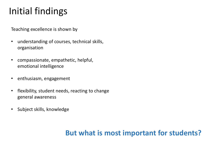Teaching excellence is shown by

- understanding of courses, technical skills, organisation
- compassionate, empathetic, helpful, emotional intelligence
- enthusiasm, engagement
- flexibility, student needs, reacting to change general awareness
- Subject skills, knowledge

#### **But what is most important for students?**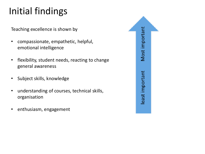Teaching excellence is shown by

- compassionate, empathetic, helpful, emotional intelligence
- flexibility, student needs, reacting to change general awareness
- Subject skills, knowledge
- understanding of courses, technical skills, organisation
- enthusiasm, engagement

|  | Most important  |  |
|--|-----------------|--|
|  | least important |  |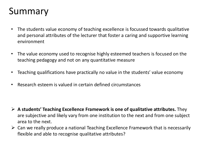## Summary

- The students value economy of teaching excellence is focussed towards qualitative and personal attributes of the lecturer that foster a caring and supportive learning environment
- The value economy used to recognise highly esteemed teachers is focused on the teaching pedagogy and not on any quantitative measure
- Teaching qualifications have practically no value in the students' value economy
- Research esteem is valued in certain defined circumstances

- **A students' Teaching Excellence Framework is one of qualitative attributes.** They are subjective and likely vary from one institution to the next and from one subject area to the next.
- $\triangleright$  Can we really produce a national Teaching Excellence Framework that is necessarily flexible and able to recognise qualitative attributes?